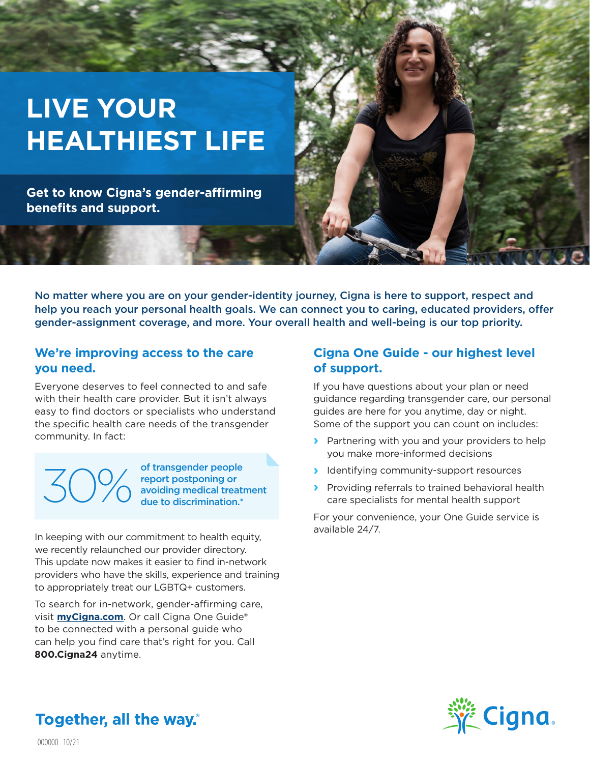# **LIVE YOUR HEALTHIEST LIFE**

**Get to know Cigna's gender-affirming benefits and support.** 

No matter where you are on your gender-identity journey, Cigna is here to support, respect and help you reach your personal health goals. We can connect you to caring, educated providers, offer gender-assignment coverage, and more. Your overall health and well-being is our top priority.

#### **We're improving access to the care you need.**

Everyone deserves to feel connected to and safe with their health care provider. But it isn't always easy to find doctors or specialists who understand the specific health care needs of the transgender community. In fact:

of transgender people report postponing or avoiding medical treatment<br>due to discrimination.\*

In keeping with our commitment to health equity, we recently relaunched our provider directory. This update now makes it easier to find in-network providers who have the skills, experience and training to appropriately treat our LGBTQ+ customers.

To search for in-network, gender-affirming care, visit **myCigna.com**. Or call Cigna One Guide® to be connected with a personal guide who can help you find care that's right for you. Call **800.Cigna24** anytime.

### **Cigna One Guide - our highest level of support.**

If you have questions about your plan or need guidance regarding transgender care, our personal guides are here for you anytime, day or night. Some of the support you can count on includes:

- **›** Partnering with you and your providers to help you make more-informed decisions
- **›** Identifying community-support resources
- **›** Providing referrals to trained behavioral health care specialists for mental health support

For your convenience, your One Guide service is available 24/7.



**Together, all the way.**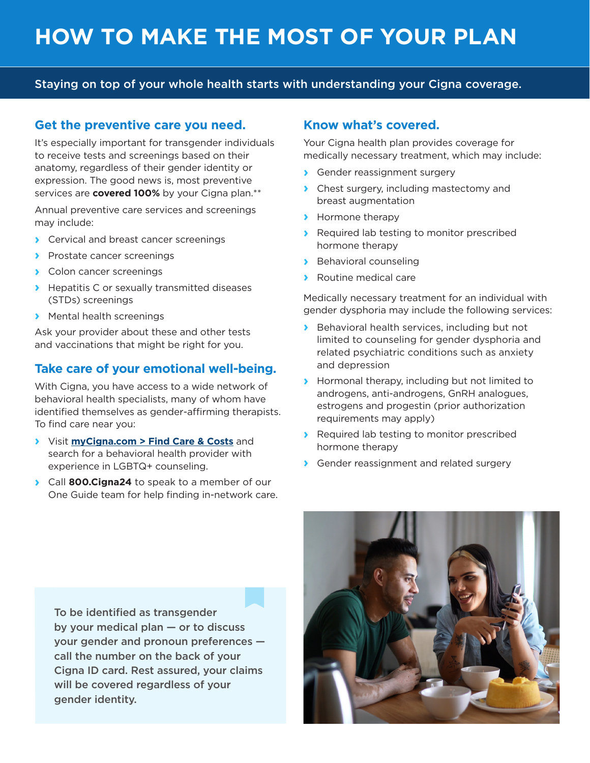#### Staying on top of your whole health starts with understanding your Cigna coverage.

#### **Get the preventive care you need.**

It's especially important for transgender individuals to receive tests and screenings based on their anatomy, regardless of their gender identity or expression. The good news is, most preventive services are **covered 100%** by your Cigna plan.\*\*

Annual preventive care services and screenings may include:

- **›** Cervical and breast cancer screenings
- **›** Prostate cancer screenings
- **›** Colon cancer screenings
- **›** Hepatitis C or sexually transmitted diseases (STDs) screenings
- **›** Mental health screenings

Ask your provider about these and other tests and vaccinations that might be right for you.

#### **Take care of your emotional well-being.**

With Cigna, you have access to a wide network of behavioral health specialists, many of whom have identified themselves as gender-affirming therapists. To find care near you:

- **›** Visit **myCigna.com > Find Care & Costs** and search for a behavioral health provider with experience in LGBTQ+ counseling.
- **›** Call **800.Cigna24** to speak to a member of our One Guide team for help finding in-network care.

#### **Know what's covered.**

Your Cigna health plan provides coverage for medically necessary treatment, which may include:

- **›** Gender reassignment surgery
- **›** Chest surgery, including mastectomy and breast augmentation
- **›** Hormone therapy
- **›** Required lab testing to monitor prescribed hormone therapy
- **›** Behavioral counseling
- **›** Routine medical care

Medically necessary treatment for an individual with gender dysphoria may include the following services:

- **›** Behavioral health services, including but not limited to counseling for gender dysphoria and related psychiatric conditions such as anxiety and depression
- **›** Hormonal therapy, including but not limited to androgens, anti-androgens, GnRH analogues, estrogens and progestin (prior authorization requirements may apply)
- **›** Required lab testing to monitor prescribed hormone therapy
- **›** Gender reassignment and related surgery

To be identified as transgender by your medical plan — or to discuss your gender and pronoun preferences call the number on the back of your Cigna ID card. Rest assured, your claims will be covered regardless of your gender identity.